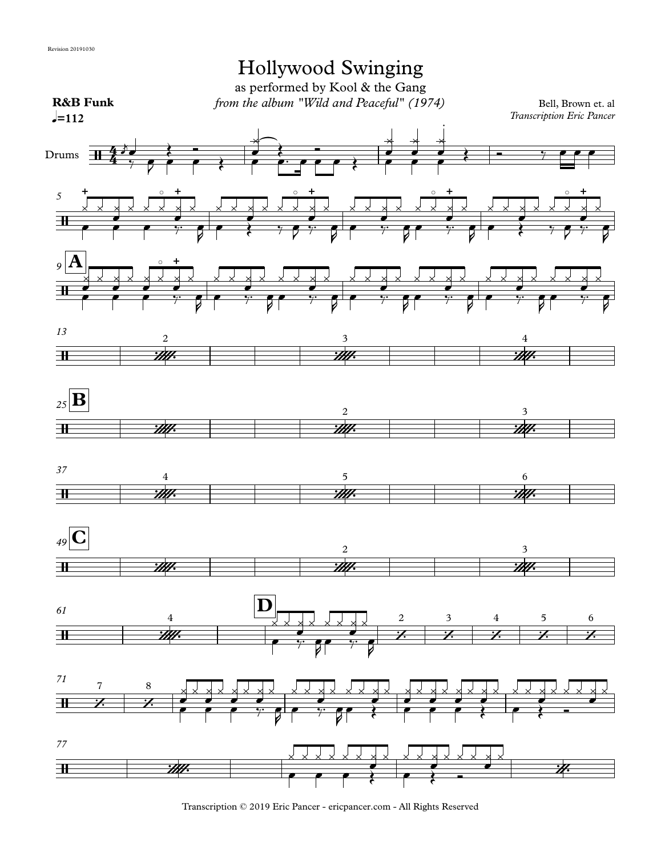

Transcription © 2019 Eric Pancer - ericpancer.com - All Rights Reserved